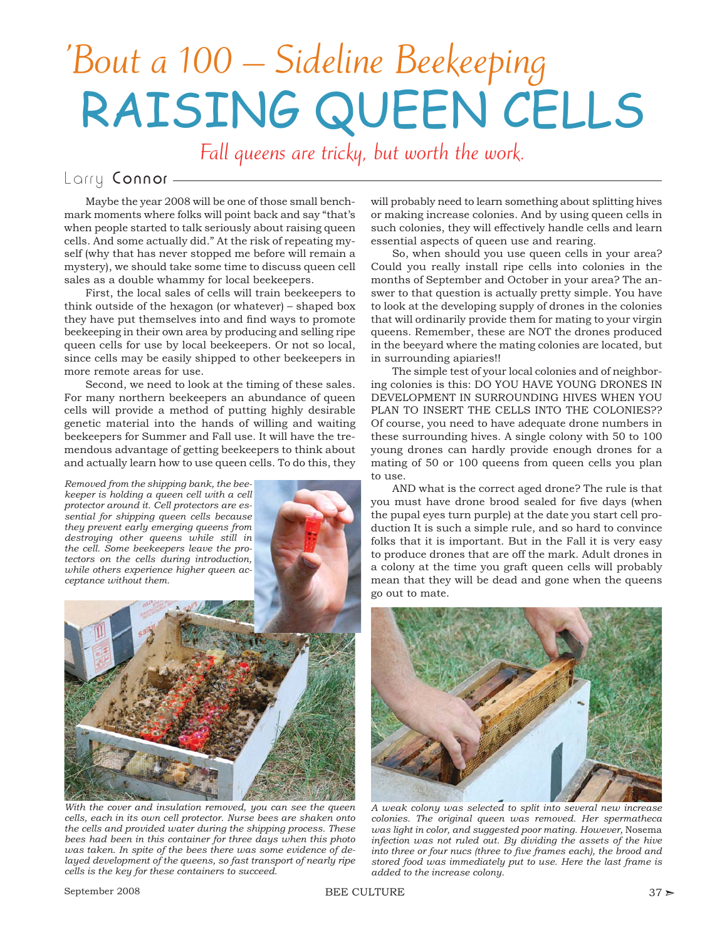## 'Bout a 100 – Sideline Beekeeping RAISING QUEEN CELLS

Fall queens are tricky, but worth the work.

## Larry Connor-

Maybe the year 2008 will be one of those small benchmark moments where folks will point back and say "that's when people started to talk seriously about raising queen cells. And some actually did." At the risk of repeating myself (why that has never stopped me before will remain a mystery), we should take some time to discuss queen cell sales as a double whammy for local beekeepers.

First, the local sales of cells will train beekeepers to think outside of the hexagon (or whatever) – shaped box they have put themselves into and find ways to promote beekeeping in their own area by producing and selling ripe queen cells for use by local beekeepers. Or not so local, since cells may be easily shipped to other beekeepers in more remote areas for use.

Second, we need to look at the timing of these sales. For many northern beekeepers an abundance of queen cells will provide a method of putting highly desirable genetic material into the hands of willing and waiting beekeepers for Summer and Fall use. It will have the tremendous advantage of getting beekeepers to think about and actually learn how to use queen cells. To do this, they

*Removed from the shipping bank, the beekeeper is holding a queen cell with a cell protector around it. Cell protectors are essential for shipping queen cells because they prevent early emerging queens from destroying other queens while still in the cell. Some beekeepers leave the protectors on the cells during introduction, while others experience higher queen acceptance without them.*





*With the cover and insulation removed, you can see the queen cells, each in its own cell protector. Nurse bees are shaken onto the cells and provided water during the shipping process. These bees had been in this container for three days when this photo was taken. In spite of the bees there was some evidence of delayed development of the queens, so fast transport of nearly ripe cells is the key for these containers to succeed.*

will probably need to learn something about splitting hives or making increase colonies. And by using queen cells in such colonies, they will effectively handle cells and learn essential aspects of queen use and rearing.

So, when should you use queen cells in your area? Could you really install ripe cells into colonies in the months of September and October in your area? The answer to that question is actually pretty simple. You have to look at the developing supply of drones in the colonies that will ordinarily provide them for mating to your virgin queens. Remember, these are NOT the drones produced in the beeyard where the mating colonies are located, but in surrounding apiaries!!

The simple test of your local colonies and of neighboring colonies is this: DO YOU HAVE YOUNG DRONES IN DEVELOPMENT IN SURROUNDING HIVES WHEN YOU PLAN TO INSERT THE CELLS INTO THE COLONIES?? Of course, you need to have adequate drone numbers in these surrounding hives. A single colony with 50 to 100 young drones can hardly provide enough drones for a mating of 50 or 100 queens from queen cells you plan to use.

AND what is the correct aged drone? The rule is that you must have drone brood sealed for five days (when the pupal eyes turn purple) at the date you start cell production It is such a simple rule, and so hard to convince folks that it is important. But in the Fall it is very easy to produce drones that are off the mark. Adult drones in a colony at the time you graft queen cells will probably mean that they will be dead and gone when the queens go out to mate.



*A weak colony was selected to split into several new increase colonies. The original queen was removed. Her spermatheca was light in color, and suggested poor mating. However,* Nosema *infection was not ruled out. By dividing the assets of the hive*  into three or four nucs (three to five frames each), the brood and *stored food was immediately put to use. Here the last frame is added to the increase colony.*